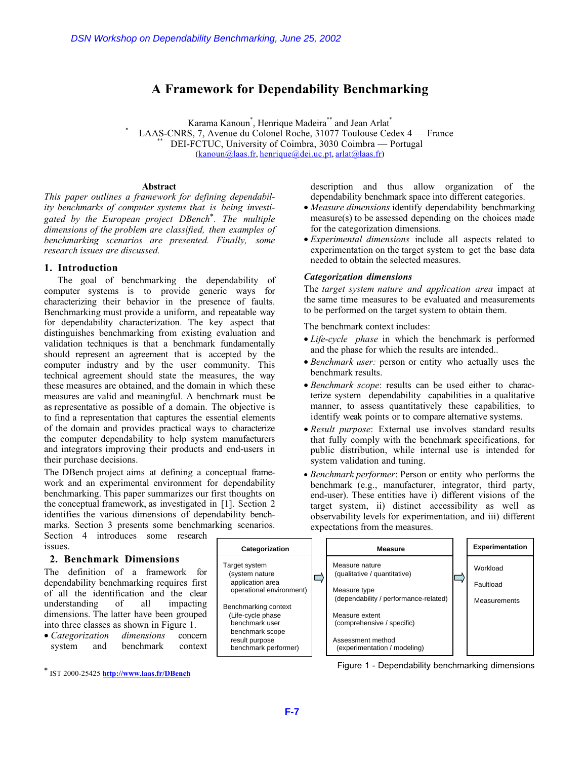# A Framework for Dependability Benchmarking

Karama Kanoun<sup>\*</sup>, Henrique Madeira<sup>\*\*</sup> and Jean Arlat<sup>\*</sup> LAAS-CNRS, 7, Avenue du Colonel Roche, 31077 Toulouse Cedex 4 — France \*\*\* DEI-FCTUC, University of Coimbra, 3030 Coimbra — Portugal (kanoun@laas.fr, henrique@dei.uc.pt, arlat@laas.fr)

#### **Abstract**

This paper outlines a framework for defining dependability benchmarks of computer systems that is being investigated by the European project DBench\*. The multiple dimensions of the problem are classified, then examples of benchmarking scenarios are presented. Finally, some research issues are discussed.

# 1. Introduction

The goal of benchmarking the dependability of computer systems is to provide generic ways for characterizing their behavior in the presence of faults. Benchmarking must provide a uniform, and repeatable way for dependability characterization. The key aspect that distinguishes benchmarking from existing evaluation and validation techniques is that a benchmark fundamentally should represent an agreement that is accepted by the computer industry and by the user community. This technical agreement should state the measures, the way these measures are obtained, and the domain in which these measures are valid and meaningful. A benchmark must be as representative as possible of a domain. The objective is to find a representation that captures the essential elements of the domain and provides practical ways to characterize the computer dependability to help system manufacturers and integrators improving their products and end-users in their purchase decisions. DSN Workshop on Dependability Benchmarking, June 25, 2002<br> **A Framework for Dependability**<br> **T-AAS-CNRS**, TAxenus Langua Lenging Magdeia<sup>7</sup><br> **E-7** LAAS-CNRS, TAxenus Langua Chemica Madeia<sup>7</sup><br> **E-17** DEFECTIVE, University

The DBench project aims at defining a conceptual framework and an experimental environment for dependability benchmarking. This paper summarizes our first thoughts on the conceptual framework, as investigated in [1]. Section 2 identifies the various dimensions of dependability benchmarks. Section 3 presents some benchmarking scenarios.

Section 4 introduces some research issues.

# 2. Benchmark Dimensions

The definition of a framework for dependability benchmarking requires first of all the identification and the clear understanding of all impacting dimensions. The latter have been grouped into three classes as shown in Figure 1.

• Categorization dimensions concern system and benchmark context

\* IST 2000-25425 http://www.laas.fr/DBench

description and thus allow organization of the dependability benchmark space into different categories.

- Measure dimensions identify dependability benchmarking measure(s) to be assessed depending on the choices made for the categorization dimensions.
- Experimental dimensions include all aspects related to experimentation on the target system to get the base data needed to obtain the selected measures.

# Categorization dimensions

The target system nature and application area impact at the same time measures to be evaluated and measurements to be performed on the target system to obtain them.

The benchmark context includes:

- Life-cycle *phase* in which the benchmark is performed and the phase for which the results are intended..
- Benchmark user: person or entity who actually uses the benchmark results.
- Benchmark scope: results can be used either to characterize system dependability capabilities in a qualitative manner, to assess quantitatively these capabilities, to identify weak points or to compare alternative systems.
- Result purpose: External use involves standard results that fully comply with the benchmark specifications, for public distribution, while internal use is intended for system validation and tuning.
- Benchmark performer: Person or entity who performs the benchmark (e.g., manufacturer, integrator, third party, end-user). These entities have i) different visions of the target system, ii) distinct accessibility as well as observability levels for experimentation, and iii) different expectations from the measures.



Figure 1 - Dependability benchmarking dimensions